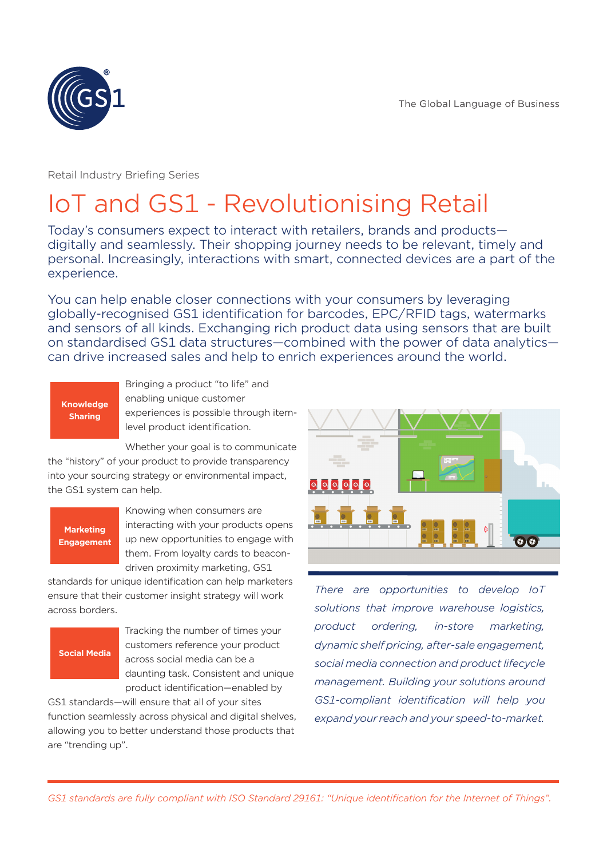

Retail Industry Briefing Series

## IoT and GS1 - Revolutionising Retail

Today's consumers expect to interact with retailers, brands and products digitally and seamlessly. Their shopping journey needs to be relevant, timely and personal. Increasingly, interactions with smart, connected devices are a part of the experience.

You can help enable closer connections with your consumers by leveraging globally-recognised GS1 identification for barcodes, EPC/RFID tags, watermarks and sensors of all kinds. Exchanging rich product data using sensors that are built on standardised GS1 data structures—combined with the power of data analytics can drive increased sales and help to enrich experiences around the world.

#### **Knowledge Sharing**

Bringing a product "to life" and enabling unique customer experiences is possible through itemlevel product identification.

Whether your goal is to communicate

the "history" of your product to provide transparency into your sourcing strategy or environmental impact, the GS1 system can help.

#### **Marketing Engagement**

Knowing when consumers are interacting with your products opens up new opportunities to engage with them. From loyalty cards to beacondriven proximity marketing, GS1

standards for unique identification can help marketers ensure that their customer insight strategy will work across borders.

#### **Social Media**

Tracking the number of times your customers reference your product across social media can be a daunting task. Consistent and unique product identification—enabled by

GS1 standards—will ensure that all of your sites function seamlessly across physical and digital shelves, allowing you to better understand those products that are "trending up".



*There are opportunities to develop IoT solutions that improve warehouse logistics, product ordering, in-store marketing, dynamic shelf pricing, after-sale engagement, social media connection and product lifecycle management. Building your solutions around GS1-compliant identification will help you expand your reach and your speed-to-market.*